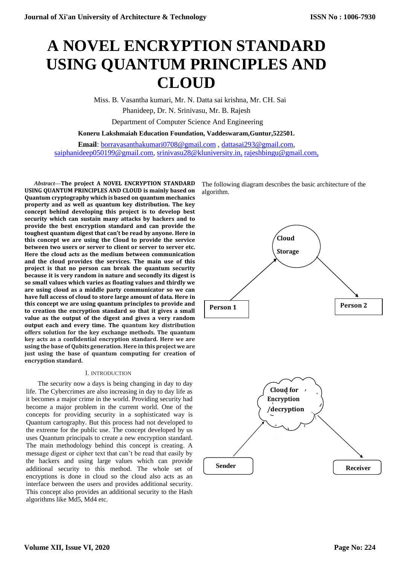# **A NOVEL ENCRYPTION STANDARD USING QUANTUM PRINCIPLES AND CLOUD**

Miss. B. Vasantha kumari, Mr. N. Datta sai krishna, Mr. CH. Sai

Phanideep, Dr. N. Srinivasu, Mr. B. Rajesh

Department of Computer Science And Engineering

**Koneru Lakshmaiah Education Foundation, Vaddeswaram,Guntur,522501.**

**Email**[:](mailto:rajeshbingu@gmail.com) [borravasanthakumari0708@gmail.com](mailto:borravasanthakumari0708@gmail.com) , [dattasai293@gmail.com,](mailto:dattasai293@gmail.com) [saiphanideep050199@gmail.com,](mailto:saiphanideep050199@gmail.com) [srinivasu28@kluniversity.in,](mailto:srinivasu28@kluniversity.in) rajeshbingu@gmail.com,

*Abstract***—The project A NOVEL ENCRYPTION STANDARD USING QUANTUM PRINCIPLES AND CLOUD is mainly based on Quantum cryptography which is based on quantum mechanics property and as well as quantum key distribution. The key concept behind developing this project is to develop best security which can sustain many attacks by hackers and to provide the best encryption standard and can provide the toughest quantum digest that can't be read by anyone. Here in this concept we are using the Cloud to provide the service between two users or server to client or server to server etc. Here the cloud acts as the medium between communication and the cloud provides the services. The main use of this project is that no person can break the quantum security because it is very random in nature and secondly its digest is so small values which varies as floating values and thirdly we are using cloud as a middle party communicator so we can have full access of cloud to store large amount of data. Here in this concept we are using quantum principles to provide and to creation the encryption standard so that it gives a small value as the output of the digest and gives a very random output each and every time. The quantum key distribution offers solution for the key exchange methods. The quantum key acts as a confidential encryption standard. Here we are using the base of Qubits generation. Here in this project we are just using the base of quantum computing for creation of encryption standard.**

## I. INTRODUCTION

The security now a days is being changing in day to day life. The Cybercrimes are also increasing in day to day life as it becomes a major crime in the world. Providing security had become a major problem in the current world. One of the concepts for providing security in a sophisticated way is Quantum cartography. But this process had not developed to the extreme for the public use. The concept developed by us uses Quantum principals to create a new encryption standard. The main methodology behind this concept is creating. A message digest or cipher text that can't be read that easily by the hackers and using large values which can provide additional security to this method. The whole set of encryptions is done in cloud so the cloud also acts as an interface between the users and provides additional security. This concept also provides an additional security to the Hash algorithms like Md5, Md4 etc.

The following diagram describes the basic architecture of the algorithm.

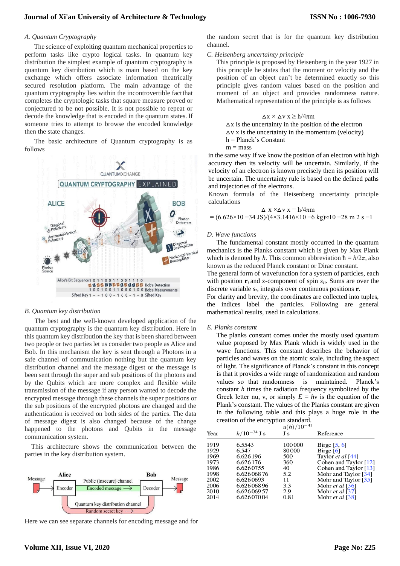#### *A. Quantum Cryptography*

The science of exploiting quantum mechanical properties to perform tasks like crypto logical tasks. In quantum key distribution the simplest example of quantum cryptography is quantum key distribution which is main based on the key exchange which offers associate information theatrically secured resolution platform. The main advantage of the quantum cryptography lies within the incontrovertible factthat completes the cryptologic tasks that square measure proved or conjectured to be not possible. It is not possible to repeat or decode the knowledge that is encoded in the quantum states. If someone tries to attempt to browse the encoded knowledge then the state changes.

The basic architecture of Quantum cryptography is as follows



#### *B. Quantum key distribution*

The best and the well-known developed application of the quantum cryptography is the quantum key distribution. Here in this quantum key distribution the key that is been shared between two people or two parties let us consider two people as Alice and Bob. In this mechanism the key is sent through a Photons in a safe channel of communication nothing but the quantum key distribution channel and the message digest or the message is been sent through the super and sub positions of the photons and by the Qubits which are more complex and flexible while transmission of the message if any person wanted to decode the encrypted message through these channels the super positions or the sub positions of the encrypted photons are changed and the authentication is received on both sides of the parties. The data of message digest is also changed because of the change happened to the photons and Qubits in the message communication system.

This architecture shows the communication between the parties in the key distribution system.



Here we can see separate channels for encoding message and for

the random secret that is for the quantum key distribution channel.

#### *C. Heisenberg uncertainty principle*

This principle is proposed by Heisenberg in the year 1927 in this principle he states that the moment or velocity and the position of an object can't be determined exactly so this principle gives random values based on the position and moment of an object and provides randomness nature. Mathematical representation of the principle is as follows

$$
\Delta x \times \Delta v \; x \geq h/4\pi m
$$

 $\Delta x$  is the uncertainty in the position of the electron  $\Delta v$  x is the uncertainty in the momentum (velocity) h = Planck's Constant  $m =$ mass

in the same way If we know the position of an electron with high accuracy then its velocity will be uncertain. Similarly, if the velocity of an electron is known precisely then its position will be uncertain. The uncertainty rule is based on the defined paths and trajectories of the electrons.

Known formula of the Heisenberg uncertainty principle calculations

$$
\Delta x \times \Delta v \times f = h/4\pi m
$$
  
= (6.626×10-34 JS)/(4×3.1416×10-6 kg)≈10-28 m 2 s-1

#### *D. Wave functions*

The fundamental constant mostly occurred in the quantum mechanics is the Planks constant which is given by Max Plank which is denoted by *h*. This common abbreviation  $\hbar = h/2\pi$ , also known as the reduced Planck constant or Dirac constant.

The general form of [wavefunction](https://en.wikipedia.org/wiki/Wavefunction) for a system of particles, each with position  $\mathbf{r}_i$  and z-component of spin  $s_{zi}$ . Sums are over the discrete variable *sz*, integrals over continuous positions **r**.

For clarity and brevity, the coordinates are collected into tuples, the indices label the particles. Following are general mathematical results, used in calculations.

#### *E. Planks constant*

The planks constant comes under the mostly used quantum value proposed by Max Plank which is widely used in the wave functions. This constant describes the behavior of particles and waves on th[e atomic s](https://www.britannica.com/science/atom)cale, including theaspect of light. The significance of Planck's constant in this concept is that it provides a wide range of randomization and random values so that randomness is maintained. Planck's constant *h* times the radiation frequency symbolized by the Greek letter nu, v, or simply  $E = hv$  is the equation of the Plank's constant. The values of the Planks constant are given in the following table and this plays a huge role in the creation of the encryption standard.

| Year                 | $h/10^{-34}$ J s                      | $u(h)/10^{-41}$<br>Js  | Reference                                                                        |
|----------------------|---------------------------------------|------------------------|----------------------------------------------------------------------------------|
| 1919<br>1929<br>1969 | 6.5543<br>6.547<br>6.626196           | 100000<br>80000<br>500 | Birge $[5, 6]$<br>Birge $[6]$                                                    |
| 1973<br>1986         | 6.626176<br>6.6260755                 | 360<br>40              | Taylor <i>et al</i> $[44]$<br>Cohen and Taylor $[12]$<br>Cohen and Taylor $[13]$ |
| 1998<br>2002<br>2006 | 6.62606876<br>6.6260693<br>6.62606896 | 5.2<br>11<br>3.3       | Mohr and Taylor [34]<br>Mohr and Taylor [35]<br>Mohr et al $[36]$                |
| 2010<br>2014         | 6.62606957<br>6.62607004              | 2.9<br>0.81            | Mohr et al $[37]$<br>Mohr et al [38]                                             |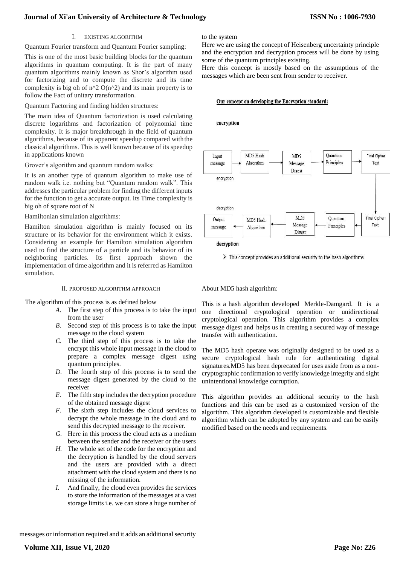## I. EXISTING ALGORITHM

Quantum Fourier transform and Quantum Fourier sampling:

This is one of the most basic building blocks for the quantum algorithms in quantum computing. It is the part of many quantum algorithms mainly known as Shor's algorithm used for factorizing and to compute the discrete and its time complexity is big oh of  $n^2$  O( $n^2$ ) and its main property is to follow the Fact of unitary transformation.

Quantum Factoring and finding hidden structures:

The main idea of Quantum factorization is used calculating discrete logarithms and factorization of polynomial time complexity. It is major breakthrough in the field of quantum algorithms, because of its apparent speedup compared withthe classical algorithms. This is well known because of its speedup in applications known

Grover's algorithm and quantum random walks:

It is an another type of quantum algorithm to make use of random walk i.e. nothing but "Quantum random walk". This addresses the particular problem for finding the different inputs for the function to get a accurate output. Its Time complexity is big oh of square root of N

Hamiltonian simulation algorithms:

Hamilton simulation algorithm is mainly focused on its structure or its behavior for the environment which it exists. Considering an example for Hamilton simulation algorithm used to find the structure of a particle and its behavior of its neighboring particles. Its first approach shown the implementation of time algorithm and it is referred as Hamilton simulation.

## II. PROPOSED ALGORITHM APPROACH

The algorithm of this process is as defined below

- *A.* The first step of this process is to take the input from the user
- *B.* Second step of this process is to take the input message to the cloud system
- *C.* The third step of this process is to take the encrypt this whole input message in the cloud to prepare a complex message digest using quantum principles.
- *D.* The fourth step of this process is to send the message digest generated by the cloud to the receiver
- *E.* The fifth step includes the decryption procedure of the obtained message digest
- *F.* The sixth step includes the cloud services to decrypt the whole message in the cloud and to send this decrypted message to the receiver.
- *G.* Here in this process the cloud acts as a medium between the sender and the receiver or the users
- *H.* The whole set of the code for the encryption and the decryption is handled by the cloud servers and the users are provided with a direct attachment with the cloud system and there is no missing of the information.
- *I.* And finally, the cloud even provides the services to store the information of the messages at a vast storage limits i.e. we can store a huge number of

to the system

Here we are using the concept of Heisenberg uncertainty principle and the encryption and decryption process will be done by using some of the quantum principles existing.

Here this concept is mostly based on the assumptions of the messages which are been sent from sender to receiver.

#### Our concept on developing the Encryption standard:

encryption



 $\triangleright$  This concept provides an additional security to the hash algorithms

About MD5 hash algorithm:

This is a hash algorithm developed Merkle-Damgard. It is a one directional cryptological operation or unidirectional cryptological operation. This algorithm provides a complex message digest and helps us in creating a secured way of message transfer with authentication.

The MD5 hash operate was originally designed to be used as a secure cryptological hash rule for authenticating digital signatures.MD5 has been deprecated for uses aside from as a noncryptographic confirmation to verify knowledge integrity and sight unintentional knowledge corruption.

This algorithm provides an additional security to the hash functions and this can be used as a customized version of the algorithm. This algorithm developed is customizable and flexible algorithm which can be adopted by any system and can be easily modified based on the needs and requirements.

messages or information required and it adds an additional security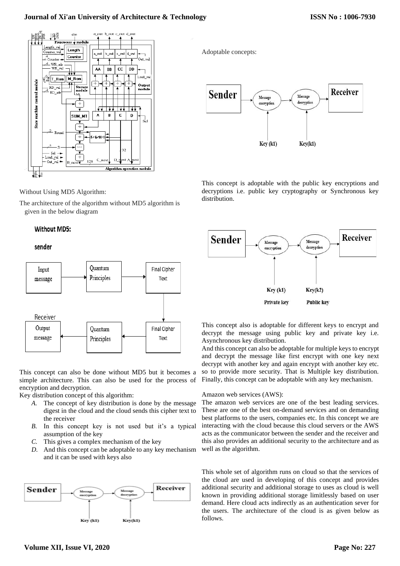

Without Using MD5 Algorithm:

The architecture of the algorithm without MD5 algorithm is given in the below diagram

# Without MD5:

## sender



This concept can also be done without MD5 but it becomes a simple architecture. This can also be used for the process of encryption and decryption.

Key distribution concept of this algorithm:

- *A.* The concept of key distribution is done by the message digest in the cloud and the cloud sends this cipher text to the receiver
- *B.* In this concept key is not used but it's a typical assumption of the key
- *C.* This gives a complex mechanism of the key
- *D.* And this concept can be adoptable to any key mechanism and it can be used with keys also



Adoptable concepts:



This concept is adoptable with the public key encryptions and decryptions i.e. public key cryptography or Synchronous key distribution.



This concept also is adoptable for different keys to encrypt and decrypt the message using public key and private key i.e. Asynchronous key distribution.

And this concept can also be adoptable for multiple keys to encrypt and decrypt the message like first encrypt with one key next decrypt with another key and again encrypt with another key etc. so to provide more security. That is Multiple key distribution. Finally, this concept can be adoptable with any key mechanism.

## Amazon web services (AWS):

The amazon web services are one of the best leading services. These are one of the best on-demand services and on demanding best platforms to the users, companies etc. In this concept we are interacting with the cloud because this cloud servers or the AWS acts as the communicator between the sender and the receiver and this also provides an additional security to the architecture and as well as the algorithm.

This whole set of algorithm runs on cloud so that the services of the cloud are used in developing of this concept and provides additional security and additional storage to uses as cloud is well known in providing additional storage limitlessly based on user demand. Here cloud acts indirectly as an authentication sever for the users. The architecture of the cloud is as given below as follows.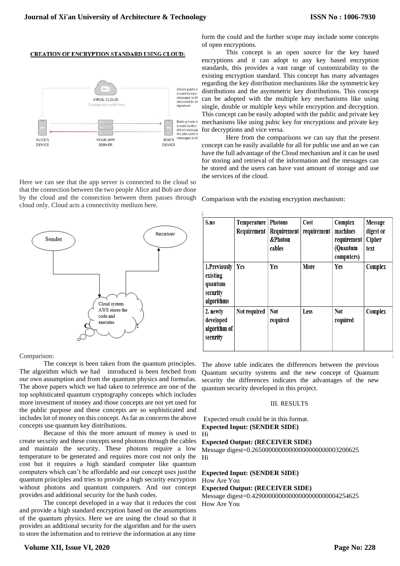#### **CREATION OF ENCRYPTION STANDARD USING CLOUD:**



Here we can see that the app server is connected to the cloud so that the connection between the two people Alice and Bob are done by the cloud and the connection between them passes through cloud only. Cloud acts a connectivity medium here.



Comparison:

The concept is been taken from the quantum principles. The algorithm which we had introduced is been fetched from our own assumption and from the quantum physics and formulas. The above papers which we had taken to reference are one of the top sophisticated quantum cryptography concepts which includes more investment of money and those concepts are not yet used for the public purpose and these concepts are so sophisticated and includes lot of money on this concept. As far as concerns the above concepts use quantum key distributions.

Because of this the more amount of money is used to create security and these concepts send photons through the cables and maintain the security. These photons require a low temperature to be generated and requires more cost not only the cost but it requires a high standard computer like quantum computers which can't be affordable and our concept uses justthe quantum principles and tries to provide a high security encryption without photons and quantum computers. And our concept provides and additional security for the hash codes.

The concept developed in a way that it reduces the cost and provide a high standard encryption based on the assumptions of the quantum physics. Here we are using the cloud so that it provides an additional security for the algorithm and for the users to store the information and to retrieve the information at any time

form the could and the further scope may include some concepts of open encryptions.

This concept is an open source for the key based encryptions and it can adopt to any key based encryption standards, this provides a vast range of customizability to the existing encryption standard. This concept has many advantages regarding the key distribution mechanisms like the symmetric key distributions and the asymmetric key distributions. This concept can be adopted with the multiple key mechanisms like using single, double or multiple keys while encryption and decryption. This concept can be easily adopted with the public and private key mechanisms like using pubic key for encryptions and private key for decryptions and vice versa.

Here from the comparisons we can say that the present concept can be easily available for all for public use and an we can have the full advantage of the Cloud mechanism and it can be used for storing and retrieval of the information and the messages can be stored and the users can have vast amount of storage and use the services of the cloud.

Comparison with the existing encryption mechanism:

| S.no                                                          | Temperature  <br>Requirement | <b>Photons</b><br>Requirement<br>&Photon<br>cables | Cost<br>requirement | Complex<br>machines<br>requirement<br>(Quantum<br>computers) | Message<br>digest or<br>Cipher<br>text |
|---------------------------------------------------------------|------------------------------|----------------------------------------------------|---------------------|--------------------------------------------------------------|----------------------------------------|
| 1.Previously<br>existing<br>quantum<br>security<br>algorithms | Yes                          | <b>Yes</b>                                         | More                | Yes                                                          | Complex                                |
| 2. newly<br>developed<br>algorithm of<br>security             | Not required                 | Not<br>required                                    | Less                | <b>Not</b><br>required                                       | Complex                                |

The above table indicates the differences between the previous Quantum security systems and the new concept of Quantum security the differences indicates the advantages of the new quantum security developed in this project.

#### III. RESULTS

Expected result could be in this format. **Expected Input: (SENDER SIDE)**

Hi

ĵ.

## **Expected Output: (RECEIVER SIDE)**

Message digest=0.26500000000000000000000003200625 Hi

## **Expected Input: (SENDER SIDE)** How Are You

## **Expected Output: (RECEIVER SIDE)**

Message digest=0.42900000000000000000000004254625 How Are You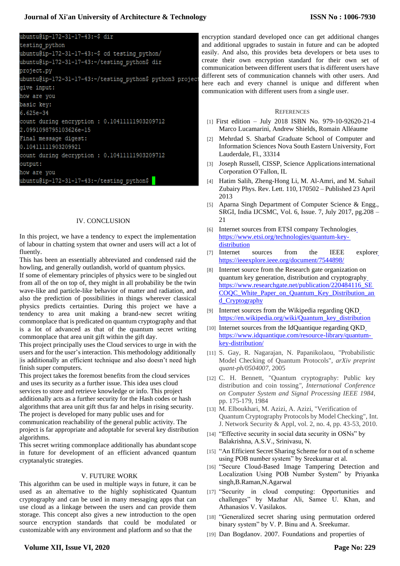# ubuntu@ip-172-31-17-43:~\$ dir

testing python ubuntu@ip-172-31-17-43:~\$ cd testing python/ ubuntu@ip-172-31-17-43:~/testing python\$ dir project.py ubuntu@ip-172-31-17-43:~/testing python\$ python3 project give input: how are you basic key:  $6.625e-34$ count during encryption : 0.10411111903209712 2.0991098795103626e-15 Final message digest: 0.10411111903209921 count during decryption : 0.10411111903209712 output: how are you ubuntu@ip-172-31-17-43:~/testing python\$

## IV. CONCLUSION

In this project, we have a tendency to expect the implementation of labour in chatting system that owner and users will act a lot of fluently.

This has been an essentially abbreviated and condensed raid the howling, and generally outlandish, world of quantum physics.

If some of elementary principles of physics were to be singled out from all of the on top of, they might in all probability be the twin wave-like and particle-like behavior of matter and radiation, and also the prediction of possibilities in things wherever classical physics predicts certainties. During this project we have a tendency to area unit making a brand-new secret writing commonplace that is predicated on quantum cryptography and that is a lot of advanced as that of the quantum secret writing commonplace that area unit gift within the gift day.

This project principally uses the Cloud services to urge in with the users and for the user's interaction. This methodology additionally |is additionally an efficient technique and also doesn't need high finish super computers.

This project takes the foremost benefits from the cloud services and uses its security as a further issue. This idea uses cloud services to store and retrieve knowledge or info. This project additionally acts as a further security for the Hash codes or hash algorithms that area unit gift thus far and helps in rising security. The project is developed for many public uses and for communication reachability of the general public activity. The

project is far appropriate and adoptable for several key distribution algorithms. This secret writing commonplace additionally has abundant scope

in future for development of an efficient advanced quantum cryptanalytic strategies.

# V. FUTURE WORK

This algorithm can be used in multiple ways in future, it can be used as an alternative to the highly sophisticated Quantum cryptography and can be used in many messaging apps that can use cloud as a linkage between the users and can provide them storage. This concept also gives a new introduction to the open source encryption standards that could be modulated or customizable with any environment and platform and so that the

encryption standard developed once can get additional changes and additional upgrades to sustain in future and can be adopted easily. And also, this provides beta developers or beta uses to create their own encryption standard for their own set of communication between different users that is different users have different sets of communication channels with other users. And here each and every channel is unique and different when communication with different users from a single user.

#### **REFERENCES**

- [1] First edition July 2018 ISBN No. 979-10-92620-21-4 Marco Lucamarini, Andrew Shields, Romain Alléaume
- [2] Mehrdad S. Sharbaf Graduate School of Computer and Information Sciences Nova South Eastern University, Fort Lauderdale, Fl., 33314
- [3] Joseph Russell, CISSP, Science Applicationsinternational Corporation O'Fallon, IL
- [4] Hatim Salih, Zheng-Hong Li, M. Al-Amri, and M. Suhail Zubairy Phys. Rev. Lett. 110, 170502 – Published 23 April 2013
- [5] Aparna Singh Department of Computer Science & Engg., SRGI, India IJCSMC, Vol. 6, Issue. 7, July 2017, pg.208 – 21
- [6] Internet [s](https://www.etsi.org/technologies/quantum-key-)ources from ETSI company Technologies [https://www.etsi.org/technologies/quantum-key](https://www.etsi.org/technologies/quantum-key-)[distribution](https://www.etsi.org/technologies/quantum-key-distribution)
- [7] Internet sources from the IEEE explore[r](https://ieeexplore.ieee.org/document/7544898/) <https://ieeexplore.ieee.org/document/7544898/>
- Internet source from the Research gate organization on quantum key generation, distribution and cryptograph[y](https://www.researchgate.net/publication/220484116_SECOQC_White_Paper_on_Quantum_Key_Distribution_and_Cryptography) [https://www.researchgate.net/publication/220484116\\_SE](https://www.researchgate.net/publication/220484116_SECOQC_White_Paper_on_Quantum_Key_Distribution_and_Cryptography) [COQC\\_White\\_Paper\\_on\\_Quantum\\_Key\\_Distribution\\_an](https://www.researchgate.net/publication/220484116_SECOQC_White_Paper_on_Quantum_Key_Distribution_and_Cryptography) [d\\_Cryptography](https://www.researchgate.net/publication/220484116_SECOQC_White_Paper_on_Quantum_Key_Distribution_and_Cryptography)
- [9] Internet sources from the Wikipedia regarding QK[D](https://en.wikipedia.org/wiki/Quantum_key_distribution) [https://en.wikipedia.org/wiki/Quantum\\_key\\_distribution](https://en.wikipedia.org/wiki/Quantum_key_distribution)
- [10] Internet sources from the IdQuantique regarding QK[D](https://www.idquantique.com/resource-library/quantum-key-distribution/) [https://www.idquantique.com/resource-library/quantum](https://www.idquantique.com/resource-library/quantum-key-distribution/)[key-distribution/](https://www.idquantique.com/resource-library/quantum-key-distribution/)
- [11] S. Gay, R. Nagarajan, N. Papanikolaou, "Probabilistic Model Checking of Quantum Protocols", *arXiv preprint quant-ph/0504007,* 2005
- [12] C. H. Bennett, "Quantum cryptography: Public key distribution and coin tossing*", International Conference on Computer System and Signal Processing IEEE 1984*, pp. 175-179, 1984
- [13] M. Elboukhari, M. Azizi, A. Azizi, "Verification of Quantum Cryptography Protocols by Model Checking", Int. J. Network Security & Appl, vol. 2, no. 4, pp. 43-53, 2010.
- [14] "Effective security in social data security in OSNs" by Balakrishna, A.S.V., Srinivasu, N.
- [15] "An Efficient Secret Sharing Scheme for n out of n scheme using POB number system" by Sreekumar et al.
- [16] "Secure Cloud-Based Image Tampering Detection and Localization Using POB Number System" by Priyanka singh,B.Raman,N.Agarwal
- [17] "Security in cloud computing: Opportunities and challenges" by Mazhar Ali, Samee U. Khan, and Athanasios V. Vasilakos.
- [18] "Generalized secret sharing using permutation ordered binary system" by V. P. Binu and A. Sreekumar.
- [19] Dan Bogdanov. 2007. Foundations and properties of